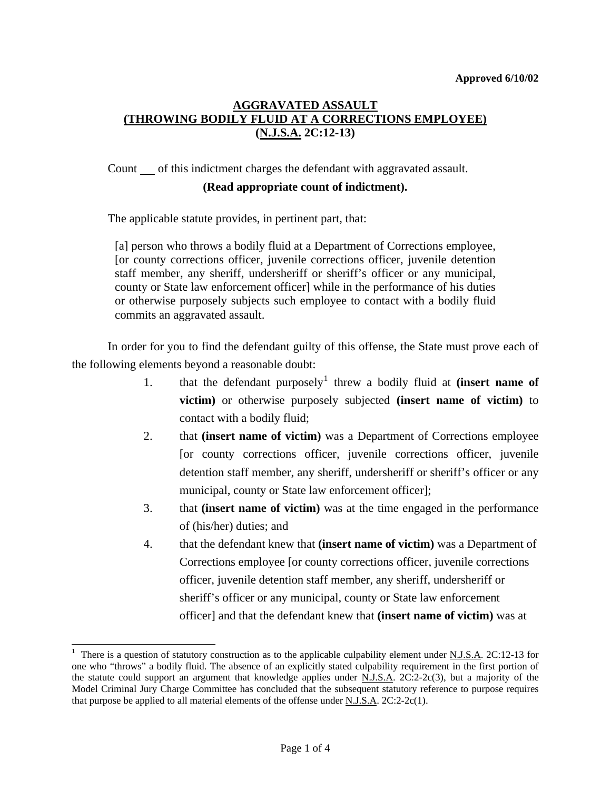# **AGGRAVATED ASSAULT (THROWING BODILY FLUID AT A CORRECTIONS EMPLOYEE) (N.J.S.A. 2C:12-13)**

Count of this indictment charges the defendant with aggravated assault.

#### **(Read appropriate count of indictment).**

The applicable statute provides, in pertinent part, that:

[a] person who throws a bodily fluid at a Department of Corrections employee, [or county corrections officer, juvenile corrections officer, juvenile detention staff member, any sheriff, undersheriff or sheriff's officer or any municipal, county or State law enforcement officer] while in the performance of his duties or otherwise purposely subjects such employee to contact with a bodily fluid commits an aggravated assault.

 In order for you to find the defendant guilty of this offense, the State must prove each of the following elements beyond a reasonable doubt:

- [1](#page-0-0). that the defendant purposely<sup>1</sup> threw a bodily fluid at **(insert name of victim)** or otherwise purposely subjected **(insert name of victim)** to contact with a bodily fluid;
	- 2. that **(insert name of victim)** was a Department of Corrections employee [or county corrections officer, juvenile corrections officer, juvenile detention staff member, any sheriff, undersheriff or sheriff's officer or any municipal, county or State law enforcement officer];
	- 3. that **(insert name of victim)** was at the time engaged in the performance of (his/her) duties; and
	- 4. that the defendant knew that **(insert name of victim)** was a Department of Corrections employee [or county corrections officer, juvenile corrections officer, juvenile detention staff member, any sheriff, undersheriff or sheriff's officer or any municipal, county or State law enforcement officer] and that the defendant knew that **(insert name of victim)** was at

<span id="page-0-1"></span> $\overline{a}$ 

<span id="page-0-0"></span><sup>&</sup>lt;sup>1</sup> There is a question of statutory construction as to the applicable culpability element under N.J.S.A. 2C:12-13 for one who "throws" a bodily fluid. The absence of an explicitly stated culpability requirement in the first portion of the statute could support an argument that knowledge applies under N.J.S.A. 2C:2-2c(3), but a majority of the Model Criminal Jury Charge Committee has concluded that the subsequent statutory reference to purpose requires that purpose be applied to all material elements of the offense under N.J.S.A. 2C:2-2c(1).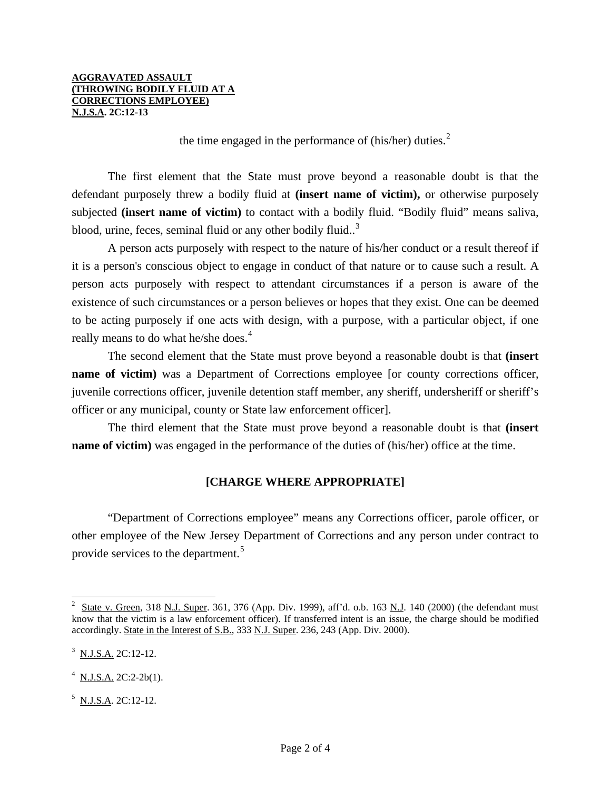the time engaged in the performance of (his/her) duties. $<sup>2</sup>$  $<sup>2</sup>$  $<sup>2</sup>$ </sup>

 The first element that the State must prove beyond a reasonable doubt is that the defendant purposely threw a bodily fluid at **(insert name of victim),** or otherwise purposely subjected **(insert name of victim)** to contact with a bodily fluid. "Bodily fluid" means saliva, blood, urine, feces, seminal fluid or any other bodily fluid..<sup>[3](#page-1-0)</sup>

 A person acts purposely with respect to the nature of his/her conduct or a result thereof if it is a person's conscious object to engage in conduct of that nature or to cause such a result. A person acts purposely with respect to attendant circumstances if a person is aware of the existence of such circumstances or a person believes or hopes that they exist. One can be deemed to be acting purposely if one acts with design, with a purpose, with a particular object, if one really means to do what he/she does.<sup>[4](#page-1-1)</sup>

 The second element that the State must prove beyond a reasonable doubt is that **(insert name of victim**) was a Department of Corrections employee [or county corrections officer, juvenile corrections officer, juvenile detention staff member, any sheriff, undersheriff or sheriff's officer or any municipal, county or State law enforcement officer].

 The third element that the State must prove beyond a reasonable doubt is that **(insert name of victim**) was engaged in the performance of the duties of (his/her) office at the time.

# **[CHARGE WHERE APPROPRIATE]**

 "Department of Corrections employee" means any Corrections officer, parole officer, or other employee of the New Jersey Department of Corrections and any person under contract to provide services to the department.<sup>[5](#page-1-2)</sup>

l

<sup>2</sup> State v. Green, 318 N.J. Super. 361, 376 (App. Div. 1999), aff'd. o.b. 163 N.J. 140 (2000) (the defendant must know that the victim is a law enforcement officer). If transferred intent is an issue, the charge should be modified accordingly. State in the Interest of S.B., 333 N.J. Super. 236, 243 (App. Div. 2000).

<span id="page-1-0"></span> $3$  N.J.S.A. 2C:12-12.

<span id="page-1-3"></span><span id="page-1-1"></span> $4$  N.J.S.A. 2C:2-2b(1).

<span id="page-1-2"></span> $<sup>5</sup>$  N.J.S.A. 2C:12-12.</sup>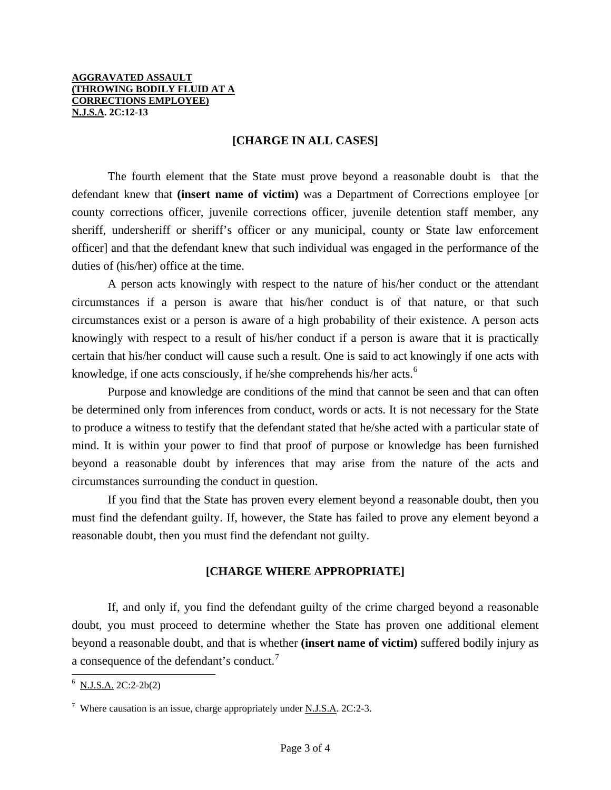## **[CHARGE IN ALL CASES]**

 The fourth element that the State must prove beyond a reasonable doubt is that the defendant knew that **(insert name of victim)** was a Department of Corrections employee [or county corrections officer, juvenile corrections officer, juvenile detention staff member, any sheriff, undersheriff or sheriff's officer or any municipal, county or State law enforcement officer] and that the defendant knew that such individual was engaged in the performance of the duties of (his/her) office at the time.

 A person acts knowingly with respect to the nature of his/her conduct or the attendant circumstances if a person is aware that his/her conduct is of that nature, or that such circumstances exist or a person is aware of a high probability of their existence. A person acts knowingly with respect to a result of his/her conduct if a person is aware that it is practically certain that his/her conduct will cause such a result. One is said to act knowingly if one acts with knowledge, if one acts consciously, if he/she comprehends his/her acts.<sup>[6](#page-1-3)</sup>

 Purpose and knowledge are conditions of the mind that cannot be seen and that can often be determined only from inferences from conduct, words or acts. It is not necessary for the State to produce a witness to testify that the defendant stated that he/she acted with a particular state of mind. It is within your power to find that proof of purpose or knowledge has been furnished beyond a reasonable doubt by inferences that may arise from the nature of the acts and circumstances surrounding the conduct in question.

 If you find that the State has proven every element beyond a reasonable doubt, then you must find the defendant guilty. If, however, the State has failed to prove any element beyond a reasonable doubt, then you must find the defendant not guilty.

### **[CHARGE WHERE APPROPRIATE]**

 If, and only if, you find the defendant guilty of the crime charged beyond a reasonable doubt, you must proceed to determine whether the State has proven one additional element beyond a reasonable doubt, and that is whether **(insert name of victim)** suffered bodily injury as a consequence of the defendant's conduct.<sup>[7](#page-2-0)</sup>

l

 $6$  N.J.S.A. 2C:2-2b(2)

<span id="page-2-1"></span><span id="page-2-0"></span><sup>&</sup>lt;sup>7</sup> Where causation is an issue, charge appropriately under <u>N.J.S.A</u>. 2C:2-3.